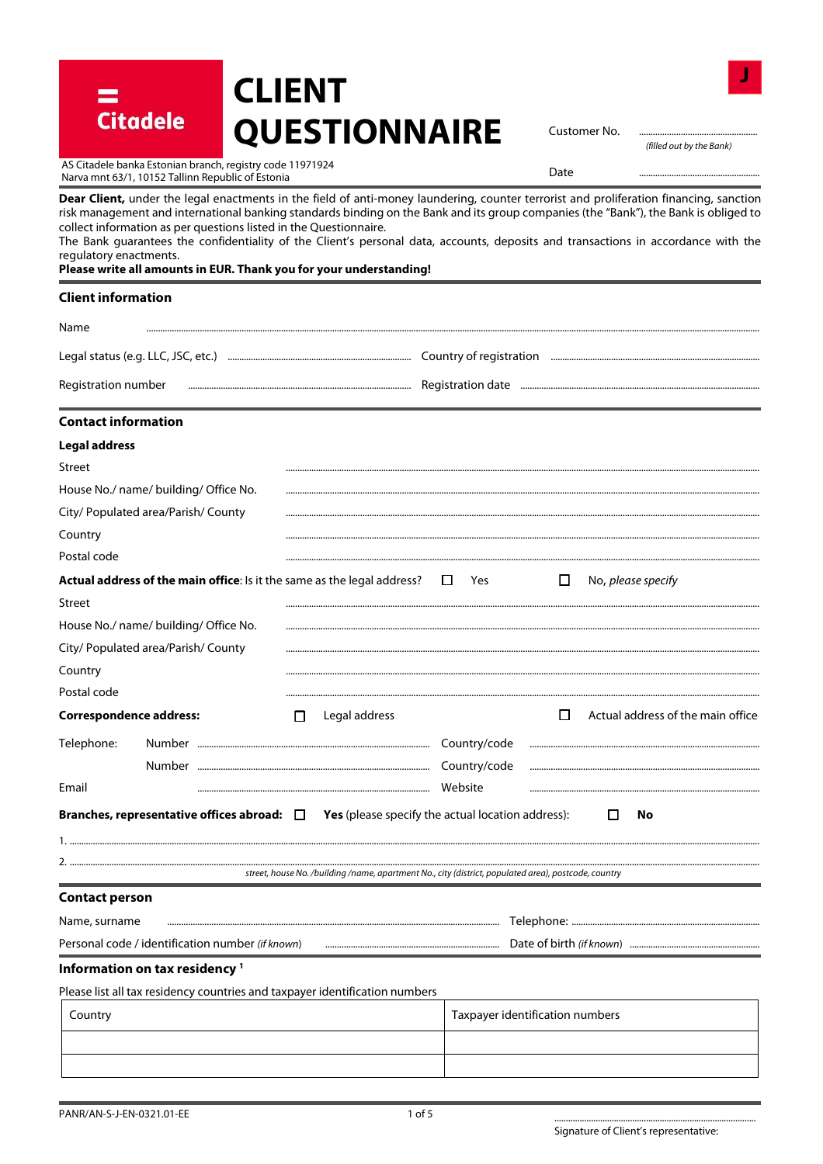| AS Citadele banka Estonian branch, registry code 11971924<br>Date<br>Narva mnt 63/1, 10152 Tallinn Republic of Estonia<br>Dear Client, under the legal enactments in the field of anti-money laundering, counter terrorist and proliferation financing, sanction<br>risk management and international banking standards binding on the Bank and its group companies (the "Bank"), the Bank is obliged to<br>collect information as per questions listed in the Questionnaire.<br>The Bank guarantees the confidentiality of the Client's personal data, accounts, deposits and transactions in accordance with the<br>regulatory enactments.<br>Please write all amounts in EUR. Thank you for your understanding!<br><b>Client information</b><br>Name<br>Legal status (e.g. LLC, JSC, etc.) <b>Entimary Communistion Country of registration Entimary Country of mate and the construction</b><br>Registration number<br><b>Contact information</b><br>Street<br>City/ Populated area/Parish/ County<br>Country<br>Actual address of the main office: Is it the same as the legal address?<br>$\Box$<br>Yes<br>□<br>No, please specify<br>Street<br>House No./ name/ building/ Office No.<br>City/ Populated area/Parish/ County<br>Country<br>Postal code<br><b>Correspondence address:</b><br>Actual address of the main office<br>Legal address<br>$\sqcup$<br>П<br>Telephone:<br>Country/code<br>Country/code<br>Email<br>Website<br>Branches, representative offices abroad: $\Box$<br><b>Yes</b> (please specify the actual location address):<br>No<br>$\Box$<br>street, house No. /building /name, apartment No., city (district, populated area), postcode, country<br><b>Contact person</b><br>Name, surname<br>Personal code / identification number (if known)<br>Information on tax residency <sup>1</sup><br>Please list all tax residency countries and taxpayer identification numbers<br>Taxpayer identification numbers<br>Country | <b>Citadele</b> | <b>QUESTIONNAIRE</b> | Customer No. | (filled out by the Bank) |
|--------------------------------------------------------------------------------------------------------------------------------------------------------------------------------------------------------------------------------------------------------------------------------------------------------------------------------------------------------------------------------------------------------------------------------------------------------------------------------------------------------------------------------------------------------------------------------------------------------------------------------------------------------------------------------------------------------------------------------------------------------------------------------------------------------------------------------------------------------------------------------------------------------------------------------------------------------------------------------------------------------------------------------------------------------------------------------------------------------------------------------------------------------------------------------------------------------------------------------------------------------------------------------------------------------------------------------------------------------------------------------------------------------------------------------------------------------------------------------------------------------------------------------------------------------------------------------------------------------------------------------------------------------------------------------------------------------------------------------------------------------------------------------------------------------------------------------------------------------------------------------------------------------------------------------------------------------|-----------------|----------------------|--------------|--------------------------|
|                                                                                                                                                                                                                                                                                                                                                                                                                                                                                                                                                                                                                                                                                                                                                                                                                                                                                                                                                                                                                                                                                                                                                                                                                                                                                                                                                                                                                                                                                                                                                                                                                                                                                                                                                                                                                                                                                                                                                        |                 |                      |              |                          |
|                                                                                                                                                                                                                                                                                                                                                                                                                                                                                                                                                                                                                                                                                                                                                                                                                                                                                                                                                                                                                                                                                                                                                                                                                                                                                                                                                                                                                                                                                                                                                                                                                                                                                                                                                                                                                                                                                                                                                        |                 |                      |              |                          |
|                                                                                                                                                                                                                                                                                                                                                                                                                                                                                                                                                                                                                                                                                                                                                                                                                                                                                                                                                                                                                                                                                                                                                                                                                                                                                                                                                                                                                                                                                                                                                                                                                                                                                                                                                                                                                                                                                                                                                        |                 |                      |              |                          |
|                                                                                                                                                                                                                                                                                                                                                                                                                                                                                                                                                                                                                                                                                                                                                                                                                                                                                                                                                                                                                                                                                                                                                                                                                                                                                                                                                                                                                                                                                                                                                                                                                                                                                                                                                                                                                                                                                                                                                        |                 |                      |              |                          |
|                                                                                                                                                                                                                                                                                                                                                                                                                                                                                                                                                                                                                                                                                                                                                                                                                                                                                                                                                                                                                                                                                                                                                                                                                                                                                                                                                                                                                                                                                                                                                                                                                                                                                                                                                                                                                                                                                                                                                        |                 |                      |              |                          |
| <b>Legal address</b>                                                                                                                                                                                                                                                                                                                                                                                                                                                                                                                                                                                                                                                                                                                                                                                                                                                                                                                                                                                                                                                                                                                                                                                                                                                                                                                                                                                                                                                                                                                                                                                                                                                                                                                                                                                                                                                                                                                                   |                 |                      |              |                          |
|                                                                                                                                                                                                                                                                                                                                                                                                                                                                                                                                                                                                                                                                                                                                                                                                                                                                                                                                                                                                                                                                                                                                                                                                                                                                                                                                                                                                                                                                                                                                                                                                                                                                                                                                                                                                                                                                                                                                                        |                 |                      |              |                          |
| House No./ name/ building/ Office No.<br>Postal code                                                                                                                                                                                                                                                                                                                                                                                                                                                                                                                                                                                                                                                                                                                                                                                                                                                                                                                                                                                                                                                                                                                                                                                                                                                                                                                                                                                                                                                                                                                                                                                                                                                                                                                                                                                                                                                                                                   |                 |                      |              |                          |
|                                                                                                                                                                                                                                                                                                                                                                                                                                                                                                                                                                                                                                                                                                                                                                                                                                                                                                                                                                                                                                                                                                                                                                                                                                                                                                                                                                                                                                                                                                                                                                                                                                                                                                                                                                                                                                                                                                                                                        |                 |                      |              |                          |
|                                                                                                                                                                                                                                                                                                                                                                                                                                                                                                                                                                                                                                                                                                                                                                                                                                                                                                                                                                                                                                                                                                                                                                                                                                                                                                                                                                                                                                                                                                                                                                                                                                                                                                                                                                                                                                                                                                                                                        |                 |                      |              |                          |
|                                                                                                                                                                                                                                                                                                                                                                                                                                                                                                                                                                                                                                                                                                                                                                                                                                                                                                                                                                                                                                                                                                                                                                                                                                                                                                                                                                                                                                                                                                                                                                                                                                                                                                                                                                                                                                                                                                                                                        |                 |                      |              |                          |
|                                                                                                                                                                                                                                                                                                                                                                                                                                                                                                                                                                                                                                                                                                                                                                                                                                                                                                                                                                                                                                                                                                                                                                                                                                                                                                                                                                                                                                                                                                                                                                                                                                                                                                                                                                                                                                                                                                                                                        |                 |                      |              |                          |
|                                                                                                                                                                                                                                                                                                                                                                                                                                                                                                                                                                                                                                                                                                                                                                                                                                                                                                                                                                                                                                                                                                                                                                                                                                                                                                                                                                                                                                                                                                                                                                                                                                                                                                                                                                                                                                                                                                                                                        |                 |                      |              |                          |
|                                                                                                                                                                                                                                                                                                                                                                                                                                                                                                                                                                                                                                                                                                                                                                                                                                                                                                                                                                                                                                                                                                                                                                                                                                                                                                                                                                                                                                                                                                                                                                                                                                                                                                                                                                                                                                                                                                                                                        |                 |                      |              |                          |
|                                                                                                                                                                                                                                                                                                                                                                                                                                                                                                                                                                                                                                                                                                                                                                                                                                                                                                                                                                                                                                                                                                                                                                                                                                                                                                                                                                                                                                                                                                                                                                                                                                                                                                                                                                                                                                                                                                                                                        |                 |                      |              |                          |
|                                                                                                                                                                                                                                                                                                                                                                                                                                                                                                                                                                                                                                                                                                                                                                                                                                                                                                                                                                                                                                                                                                                                                                                                                                                                                                                                                                                                                                                                                                                                                                                                                                                                                                                                                                                                                                                                                                                                                        |                 |                      |              |                          |
|                                                                                                                                                                                                                                                                                                                                                                                                                                                                                                                                                                                                                                                                                                                                                                                                                                                                                                                                                                                                                                                                                                                                                                                                                                                                                                                                                                                                                                                                                                                                                                                                                                                                                                                                                                                                                                                                                                                                                        |                 |                      |              |                          |
|                                                                                                                                                                                                                                                                                                                                                                                                                                                                                                                                                                                                                                                                                                                                                                                                                                                                                                                                                                                                                                                                                                                                                                                                                                                                                                                                                                                                                                                                                                                                                                                                                                                                                                                                                                                                                                                                                                                                                        |                 |                      |              |                          |
|                                                                                                                                                                                                                                                                                                                                                                                                                                                                                                                                                                                                                                                                                                                                                                                                                                                                                                                                                                                                                                                                                                                                                                                                                                                                                                                                                                                                                                                                                                                                                                                                                                                                                                                                                                                                                                                                                                                                                        |                 |                      |              |                          |
|                                                                                                                                                                                                                                                                                                                                                                                                                                                                                                                                                                                                                                                                                                                                                                                                                                                                                                                                                                                                                                                                                                                                                                                                                                                                                                                                                                                                                                                                                                                                                                                                                                                                                                                                                                                                                                                                                                                                                        |                 |                      |              |                          |
|                                                                                                                                                                                                                                                                                                                                                                                                                                                                                                                                                                                                                                                                                                                                                                                                                                                                                                                                                                                                                                                                                                                                                                                                                                                                                                                                                                                                                                                                                                                                                                                                                                                                                                                                                                                                                                                                                                                                                        |                 |                      |              |                          |
|                                                                                                                                                                                                                                                                                                                                                                                                                                                                                                                                                                                                                                                                                                                                                                                                                                                                                                                                                                                                                                                                                                                                                                                                                                                                                                                                                                                                                                                                                                                                                                                                                                                                                                                                                                                                                                                                                                                                                        |                 |                      |              |                          |
|                                                                                                                                                                                                                                                                                                                                                                                                                                                                                                                                                                                                                                                                                                                                                                                                                                                                                                                                                                                                                                                                                                                                                                                                                                                                                                                                                                                                                                                                                                                                                                                                                                                                                                                                                                                                                                                                                                                                                        |                 |                      |              |                          |
|                                                                                                                                                                                                                                                                                                                                                                                                                                                                                                                                                                                                                                                                                                                                                                                                                                                                                                                                                                                                                                                                                                                                                                                                                                                                                                                                                                                                                                                                                                                                                                                                                                                                                                                                                                                                                                                                                                                                                        |                 |                      |              |                          |
|                                                                                                                                                                                                                                                                                                                                                                                                                                                                                                                                                                                                                                                                                                                                                                                                                                                                                                                                                                                                                                                                                                                                                                                                                                                                                                                                                                                                                                                                                                                                                                                                                                                                                                                                                                                                                                                                                                                                                        |                 |                      |              |                          |
|                                                                                                                                                                                                                                                                                                                                                                                                                                                                                                                                                                                                                                                                                                                                                                                                                                                                                                                                                                                                                                                                                                                                                                                                                                                                                                                                                                                                                                                                                                                                                                                                                                                                                                                                                                                                                                                                                                                                                        |                 |                      |              |                          |
|                                                                                                                                                                                                                                                                                                                                                                                                                                                                                                                                                                                                                                                                                                                                                                                                                                                                                                                                                                                                                                                                                                                                                                                                                                                                                                                                                                                                                                                                                                                                                                                                                                                                                                                                                                                                                                                                                                                                                        |                 |                      |              |                          |
|                                                                                                                                                                                                                                                                                                                                                                                                                                                                                                                                                                                                                                                                                                                                                                                                                                                                                                                                                                                                                                                                                                                                                                                                                                                                                                                                                                                                                                                                                                                                                                                                                                                                                                                                                                                                                                                                                                                                                        |                 |                      |              |                          |
|                                                                                                                                                                                                                                                                                                                                                                                                                                                                                                                                                                                                                                                                                                                                                                                                                                                                                                                                                                                                                                                                                                                                                                                                                                                                                                                                                                                                                                                                                                                                                                                                                                                                                                                                                                                                                                                                                                                                                        |                 |                      |              |                          |
|                                                                                                                                                                                                                                                                                                                                                                                                                                                                                                                                                                                                                                                                                                                                                                                                                                                                                                                                                                                                                                                                                                                                                                                                                                                                                                                                                                                                                                                                                                                                                                                                                                                                                                                                                                                                                                                                                                                                                        |                 |                      |              |                          |
|                                                                                                                                                                                                                                                                                                                                                                                                                                                                                                                                                                                                                                                                                                                                                                                                                                                                                                                                                                                                                                                                                                                                                                                                                                                                                                                                                                                                                                                                                                                                                                                                                                                                                                                                                                                                                                                                                                                                                        |                 |                      |              |                          |
|                                                                                                                                                                                                                                                                                                                                                                                                                                                                                                                                                                                                                                                                                                                                                                                                                                                                                                                                                                                                                                                                                                                                                                                                                                                                                                                                                                                                                                                                                                                                                                                                                                                                                                                                                                                                                                                                                                                                                        |                 |                      |              |                          |

**CLIENT** 

=<br>Citadele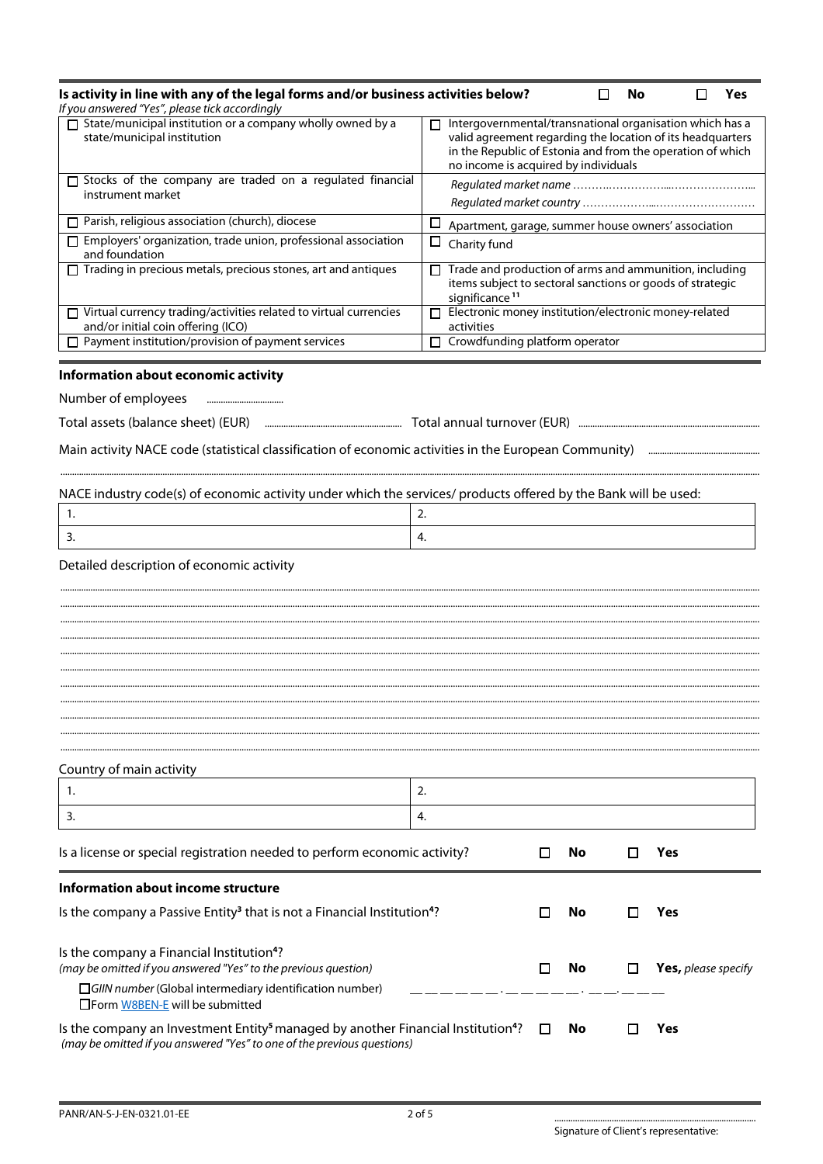| Is activity in line with any of the legal forms and/or business activities below?<br>If you answered "Yes", please tick accordingly                                                                         |                                                                                                                                                                                                                                   |   |     | No |     | <b>Yes</b>          |
|-------------------------------------------------------------------------------------------------------------------------------------------------------------------------------------------------------------|-----------------------------------------------------------------------------------------------------------------------------------------------------------------------------------------------------------------------------------|---|-----|----|-----|---------------------|
| State/municipal institution or a company wholly owned by a<br>state/municipal institution                                                                                                                   | Intergovernmental/transnational organisation which has a<br>П<br>valid agreement regarding the location of its headquarters<br>in the Republic of Estonia and from the operation of which<br>no income is acquired by individuals |   |     |    |     |                     |
| □ Stocks of the company are traded on a regulated financial                                                                                                                                                 |                                                                                                                                                                                                                                   |   |     |    |     |                     |
| instrument market                                                                                                                                                                                           |                                                                                                                                                                                                                                   |   |     |    |     |                     |
| $\Box$ Parish, religious association (church), diocese                                                                                                                                                      | □<br>Apartment, garage, summer house owners' association                                                                                                                                                                          |   |     |    |     |                     |
| Employers' organization, trade union, professional association<br>and foundation                                                                                                                            | $\Box$<br>Charity fund                                                                                                                                                                                                            |   |     |    |     |                     |
| $\Box$ Trading in precious metals, precious stones, art and antiques                                                                                                                                        | Trade and production of arms and ammunition, including<br>П.<br>items subject to sectoral sanctions or goods of strategic<br>significance <sup>11</sup>                                                                           |   |     |    |     |                     |
| $\Box$ Virtual currency trading/activities related to virtual currencies<br>and/or initial coin offering (ICO)                                                                                              | Electronic money institution/electronic money-related<br>П.<br>activities                                                                                                                                                         |   |     |    |     |                     |
| Payment institution/provision of payment services                                                                                                                                                           | $\Box$ Crowdfunding platform operator                                                                                                                                                                                             |   |     |    |     |                     |
| Information about economic activity                                                                                                                                                                         |                                                                                                                                                                                                                                   |   |     |    |     |                     |
| Number of employees                                                                                                                                                                                         |                                                                                                                                                                                                                                   |   |     |    |     |                     |
|                                                                                                                                                                                                             |                                                                                                                                                                                                                                   |   |     |    |     |                     |
|                                                                                                                                                                                                             |                                                                                                                                                                                                                                   |   |     |    |     |                     |
|                                                                                                                                                                                                             |                                                                                                                                                                                                                                   |   |     |    |     |                     |
|                                                                                                                                                                                                             |                                                                                                                                                                                                                                   |   |     |    |     |                     |
| NACE industry code(s) of economic activity under which the services/ products offered by the Bank will be used:<br>1.                                                                                       | 2.                                                                                                                                                                                                                                |   |     |    |     |                     |
|                                                                                                                                                                                                             | $\overline{4}$ .                                                                                                                                                                                                                  |   |     |    |     |                     |
| 3.                                                                                                                                                                                                          |                                                                                                                                                                                                                                   |   |     |    |     |                     |
| Detailed description of economic activity                                                                                                                                                                   |                                                                                                                                                                                                                                   |   |     |    |     |                     |
|                                                                                                                                                                                                             |                                                                                                                                                                                                                                   |   |     |    |     |                     |
|                                                                                                                                                                                                             |                                                                                                                                                                                                                                   |   |     |    |     |                     |
|                                                                                                                                                                                                             |                                                                                                                                                                                                                                   |   |     |    |     |                     |
|                                                                                                                                                                                                             |                                                                                                                                                                                                                                   |   |     |    |     |                     |
|                                                                                                                                                                                                             |                                                                                                                                                                                                                                   |   |     |    |     |                     |
|                                                                                                                                                                                                             |                                                                                                                                                                                                                                   |   |     |    |     |                     |
|                                                                                                                                                                                                             |                                                                                                                                                                                                                                   |   |     |    |     |                     |
|                                                                                                                                                                                                             |                                                                                                                                                                                                                                   |   |     |    |     |                     |
| Country of main activity                                                                                                                                                                                    |                                                                                                                                                                                                                                   |   |     |    |     |                     |
| 1.                                                                                                                                                                                                          | 2.                                                                                                                                                                                                                                |   |     |    |     |                     |
| 3.                                                                                                                                                                                                          | 4.                                                                                                                                                                                                                                |   |     |    |     |                     |
| Is a license or special registration needed to perform economic activity?                                                                                                                                   |                                                                                                                                                                                                                                   |   | No. |    | Yes |                     |
| Information about income structure                                                                                                                                                                          |                                                                                                                                                                                                                                   |   |     |    |     |                     |
| Is the company a Passive Entity <sup>3</sup> that is not a Financial Institution <sup>4</sup> ?                                                                                                             |                                                                                                                                                                                                                                   | П | No. | П  | Yes |                     |
|                                                                                                                                                                                                             |                                                                                                                                                                                                                                   |   |     |    |     |                     |
| Is the company a Financial Institution <sup>4</sup> ?                                                                                                                                                       |                                                                                                                                                                                                                                   |   |     |    |     |                     |
| (may be omitted if you answered "Yes" to the previous question)                                                                                                                                             |                                                                                                                                                                                                                                   |   | No. |    |     | Yes, please specify |
| $\Box$ GIIN number (Global intermediary identification number)                                                                                                                                              |                                                                                                                                                                                                                                   |   |     |    |     |                     |
| $\Box$ Form W8BEN-E will be submitted                                                                                                                                                                       |                                                                                                                                                                                                                                   |   |     |    |     |                     |
| Is the company an Investment Entity <sup>5</sup> managed by another Financial Institution <sup>4</sup> ? $\square$<br>No.<br>Yes<br>(may be omitted if you answered "Yes" to one of the previous questions) |                                                                                                                                                                                                                                   |   |     |    |     |                     |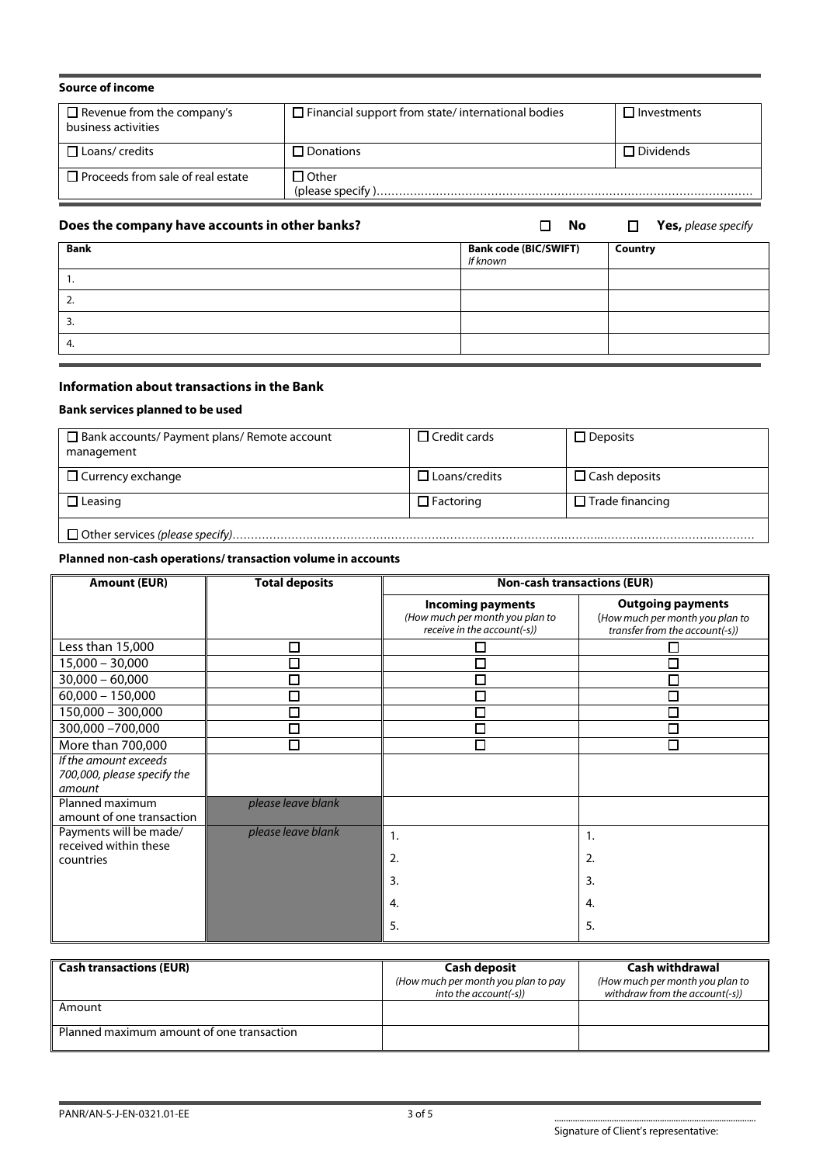| <b>Source of income</b>                                  |                                                          |                    |
|----------------------------------------------------------|----------------------------------------------------------|--------------------|
| $\Box$ Revenue from the company's<br>business activities | $\Box$ Financial support from state/international bodies | $\Box$ Investments |
| $\Box$ Loans/ credits                                    | $\Box$ Donations                                         | $\Box$ Dividends   |
| $\Box$ Proceeds from sale of real estate                 | $\Box$ Other                                             |                    |

# **Does the company have accounts in other banks?**  $\Box$  **No**  $\Box$  **Yes,** please specify

| <b>Bank</b> | <b>Bank code (BIC/SWIFT)</b><br>If known | Country |
|-------------|------------------------------------------|---------|
| . .         |                                          |         |
| z.          |                                          |         |
| J.          |                                          |         |
| 4.          |                                          |         |

# **Information about transactions in the Bank**

#### **Bank services planned to be used**

| $\Box$ Bank accounts/ Payment plans/ Remote account<br>management | $\Box$ Credit cards  | $\Box$ Deposits        |
|-------------------------------------------------------------------|----------------------|------------------------|
| $\Box$ Currency exchange                                          | $\Box$ Loans/credits | $\Box$ Cash deposits   |
| $\Box$ Leasing                                                    | $\Box$ Factoring     | $\Box$ Trade financing |
|                                                                   |                      |                        |

## **Planned non-cash operations/ transaction volume in accounts**

| <b>Amount (EUR)</b>                                            | <b>Total deposits</b> |                                                                                            | <b>Non-cash transactions (EUR)</b>                                                            |
|----------------------------------------------------------------|-----------------------|--------------------------------------------------------------------------------------------|-----------------------------------------------------------------------------------------------|
|                                                                |                       | <b>Incoming payments</b><br>(How much per month you plan to<br>receive in the account(-s)) | <b>Outgoing payments</b><br>(How much per month you plan to<br>transfer from the account(-s)) |
| Less than 15,000                                               | П                     |                                                                                            |                                                                                               |
| $15,000 - 30,000$                                              | Г                     |                                                                                            |                                                                                               |
| $30,000 - 60,000$                                              | П                     | ◘                                                                                          |                                                                                               |
| $60,000 - 150,000$                                             | П                     | $\Box$                                                                                     |                                                                                               |
| 150,000 - 300,000                                              |                       | $\Box$                                                                                     | Π                                                                                             |
| 300,000 -700,000                                               | $\Box$                | П                                                                                          |                                                                                               |
| More than 700,000                                              | П                     | п                                                                                          | П                                                                                             |
| If the amount exceeds<br>700,000, please specify the<br>amount |                       |                                                                                            |                                                                                               |
| Planned maximum<br>amount of one transaction                   | please leave blank    |                                                                                            |                                                                                               |
| Payments will be made/                                         | please leave blank    | 1.                                                                                         | 1.                                                                                            |
| received within these<br>countries                             |                       | 2.                                                                                         | 2.                                                                                            |
|                                                                |                       |                                                                                            |                                                                                               |
|                                                                |                       | $\overline{3}$ .                                                                           | 3.                                                                                            |
|                                                                |                       | 4.                                                                                         | 4.                                                                                            |
|                                                                |                       | 5.                                                                                         | 5.                                                                                            |

| <b>Cash transactions (EUR)</b>            | <b>Cash deposit</b><br>(How much per month you plan to pay<br>into the account(-s)) | Cash withdrawal<br>(How much per month you plan to<br>withdraw from the account(-s)) |
|-------------------------------------------|-------------------------------------------------------------------------------------|--------------------------------------------------------------------------------------|
| Amount                                    |                                                                                     |                                                                                      |
| Planned maximum amount of one transaction |                                                                                     |                                                                                      |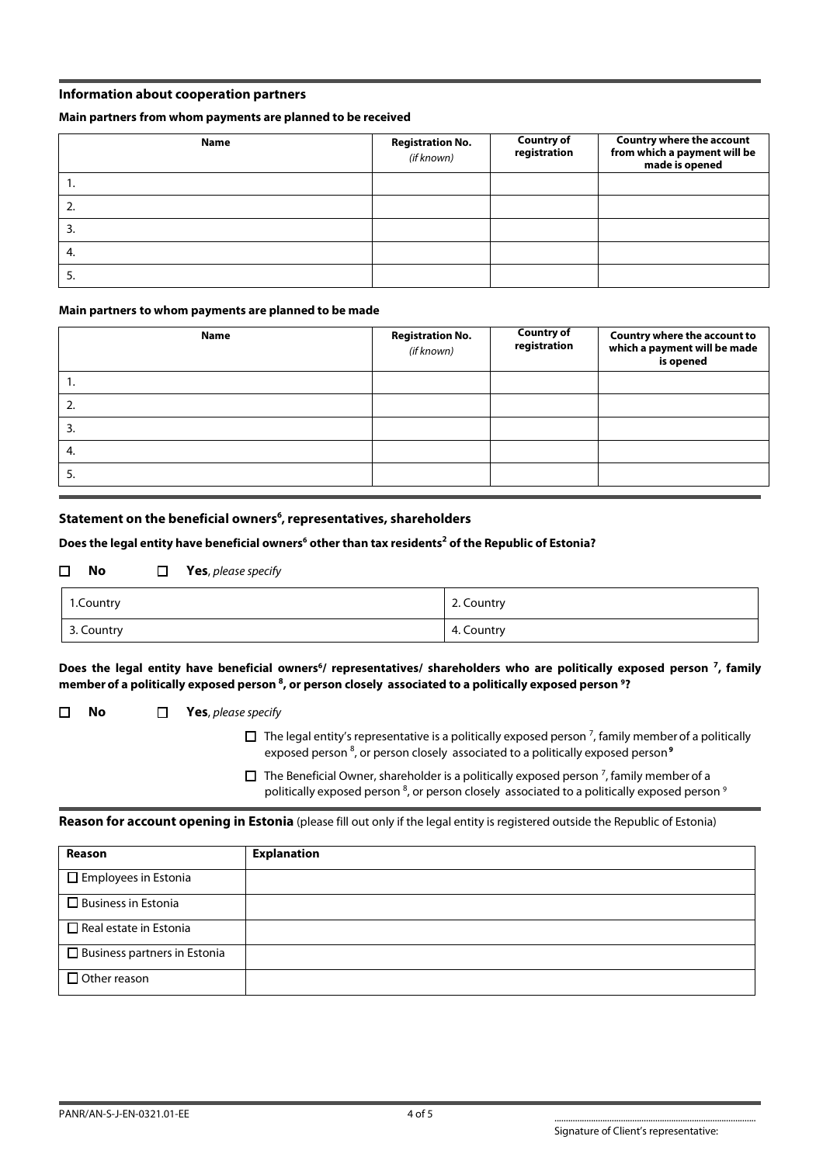## **Information about cooperation partners**

#### **Main partners from whom payments are planned to be received**

| <b>Name</b> | <b>Registration No.</b><br>(if known) | <b>Country of</b><br>registration | Country where the account<br>from which a payment will be<br>made is opened |
|-------------|---------------------------------------|-----------------------------------|-----------------------------------------------------------------------------|
| ٠.          |                                       |                                   |                                                                             |
| z.          |                                       |                                   |                                                                             |
| 3.          |                                       |                                   |                                                                             |
| 4.          |                                       |                                   |                                                                             |
| э.          |                                       |                                   |                                                                             |

#### **Main partners to whom payments are planned to be made**

| <b>Name</b> | <b>Registration No.</b><br>(if known) | <b>Country of</b><br>registration | Country where the account to<br>which a payment will be made<br>is opened |
|-------------|---------------------------------------|-----------------------------------|---------------------------------------------------------------------------|
| . .         |                                       |                                   |                                                                           |
| z.          |                                       |                                   |                                                                           |
| 3.          |                                       |                                   |                                                                           |
| -4.         |                                       |                                   |                                                                           |
| 5.          |                                       |                                   |                                                                           |

## **Statement on the beneficial owners<sup>6</sup> , representatives, shareholders**

#### **Does the legal entity have beneficial owners<sup>6</sup> other than tax residents<sup>2</sup> of the Republic of Estonia?**

## **No Yes**, please specify

| 1.Country  | 2. Country |
|------------|------------|
| 3. Country | 4. Country |

#### Does the legal entity have beneficial owners<sup>6</sup>/ representatives/ shareholders who are politically exposed person <sup>7</sup>, family **memberof a politically exposed person <sup>8</sup> , or person closely associated to a politically exposed person <sup>9</sup>?**

#### **No Yes**, please specify

 $\Box$  The legal entity's representative is a politically exposed person <sup>7</sup>, family member of a politically exposed person <sup>8</sup>, or person closely associated to a politically exposed person <sup>9</sup>

 $\Box$  The Beneficial Owner, shareholder is a politically exposed person <sup>7</sup>, family member of a politically exposed person <sup>8</sup>, or person closely associated to a politically exposed person <sup>9</sup>

#### **Reason for account opening in Estonia** (please fill out only if the legal entity is registered outside the Republic of Estonia)

| Reason                              | <b>Explanation</b> |
|-------------------------------------|--------------------|
| $\Box$ Employees in Estonia         |                    |
| $\Box$ Business in Estonia          |                    |
| $\Box$ Real estate in Estonia       |                    |
| $\Box$ Business partners in Estonia |                    |
| $\Box$ Other reason                 |                    |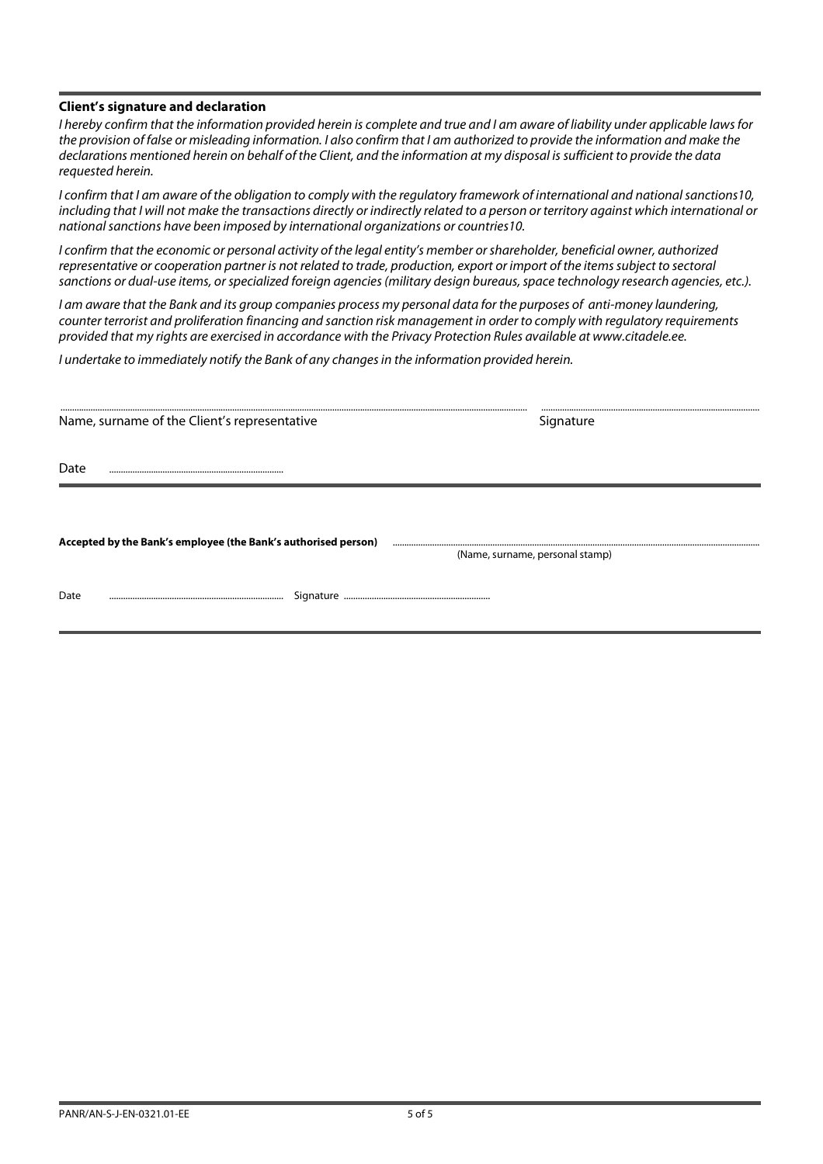## **Client's signature and declaration**

I hereby confirm that the information provided herein is complete and true and I am aware of liability under applicable laws for the provision of false or misleading information. I also confirm that I am authorized to provide the information and make the declarations mentioned herein on behalf of the Client, and the information at my disposal is sufficient to provide the data requested herein.

I confirm that I am aware of the obligation to comply with the regulatory framework of international and national sanctions10, including that I will not make the transactions directly or indirectly related to a person or territory against which international or national sanctions have been imposed by international organizations or countries10.

I confirm that the economic or personal activity of the legal entity's member or shareholder, beneficial owner, authorized representative or cooperation partner is not related to trade, production, export or import of the items subject to sectoral sanctions or dual-use items, or specialized foreign agencies (military design bureaus, space technology research agencies, etc.).

I am aware that the Bank and its group companies process my personal data for the purposes of anti-money laundering, counter terrorist and proliferation financing and sanction risk management in order to comply with regulatory requirements provided that my rights are exercised in accordance with the Privacy Protection Rules available at www.citadele.ee.

I undertake to immediately notify the Bank of any changes in the information provided herein.

| Name, surname of the Client's representative                   | Signature                       |
|----------------------------------------------------------------|---------------------------------|
| Date                                                           |                                 |
|                                                                |                                 |
| Accepted by the Bank's employee (the Bank's authorised person) | (Name, surname, personal stamp) |
| Date                                                           |                                 |
|                                                                |                                 |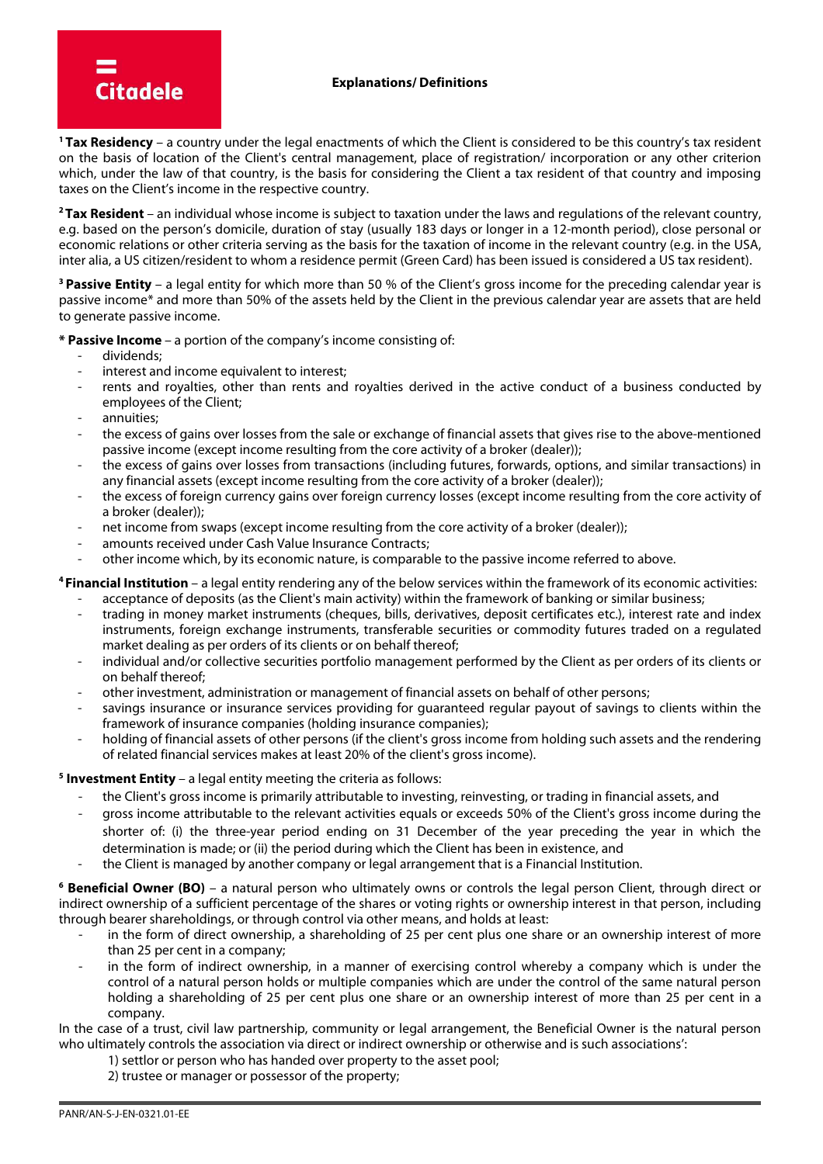**<sup>1</sup>Tax Residency** – a country under the legal enactments of which the Client is considered to be this country's tax resident on the basis of location of the Client's central management, place of registration/ incorporation or any other criterion which, under the law of that country, is the basis for considering the Client a tax resident of that country and imposing taxes on the Client's income in the respective country.

**<sup>2</sup>Tax Resident** – an individual whose income is subject to taxation under the laws and regulations of the relevant country, e.g. based on the person's domicile, duration of stay (usually 183 days or longer in a 12-month period), close personal or economic relations or other criteria serving as the basis for the taxation of income in the relevant country (e.g. in the USA, inter alia, a US citizen/resident to whom a residence permit (Green Card) has been issued is considered a US tax resident).

**<sup>3</sup>Passive Entity** – a legal entity for which more than 50 % of the Client's gross income for the preceding calendar year is passive income\* and more than 50% of the assets held by the Client in the previous calendar year are assets that are held to generate passive income.

**\* Passive Income** – a portion of the company's income consisting of:

- dividends;

**Citadele** 

- interest and income equivalent to interest;
- rents and royalties, other than rents and royalties derived in the active conduct of a business conducted by employees of the Client;
- annuities:
- the excess of gains over losses from the sale or exchange of financial assets that gives rise to the above-mentioned passive income (except income resulting from the core activity of a broker (dealer));
- the excess of gains over losses from transactions (including futures, forwards, options, and similar transactions) in any financial assets (except income resulting from the core activity of a broker (dealer));
- the excess of foreign currency gains over foreign currency losses (except income resulting from the core activity of a broker (dealer));
- net income from swaps (except income resulting from the core activity of a broker (dealer));
- amounts received under Cash Value Insurance Contracts;
- other income which, by its economic nature, is comparable to the passive income referred to above.

# **<sup>4</sup>Financial Institution** – a legal entity rendering any of the below services within the framework of its economic activities:

- acceptance of deposits (as the Client's main activity) within the framework of banking or similar business;
- trading in money market instruments (cheques, bills, derivatives, deposit certificates etc.), interest rate and index instruments, foreign exchange instruments, transferable securities or commodity futures traded on a regulated market dealing as per orders of its clients or on behalf thereof;
- individual and/or collective securities portfolio management performed by the Client as per orders of its clients or on behalf thereof;
- other investment, administration or management of financial assets on behalf of other persons;
- savings insurance or insurance services providing for guaranteed regular payout of savings to clients within the framework of insurance companies (holding insurance companies);
- holding of financial assets of other persons (if the client's gross income from holding such assets and the rendering of related financial services makes at least 20% of the client's gross income).

## **5 Investment Entity** – a legal entity meeting the criteria as follows:

- the Client's gross income is primarily attributable to investing, reinvesting, or trading in financial assets, and
- gross income attributable to the relevant activities equals or exceeds 50% of the Client's gross income during the shorter of: (i) the three-year period ending on 31 December of the year preceding the year in which the determination is made; or (ii) the period during which the Client has been in existence, and
- the Client is managed by another company or legal arrangement that is a Financial Institution.

**6 Beneficial Owner (BO)** – a natural person who ultimately owns or controls the legal person Client, through direct or indirect ownership of a sufficient percentage of the shares or voting rights or ownership interest in that person, including through bearer shareholdings, or through control via other means, and holds at least:

- in the form of direct ownership, a shareholding of 25 per cent plus one share or an ownership interest of more than 25 per cent in a company;
- in the form of indirect ownership, in a manner of exercising control whereby a company which is under the control of a natural person holds or multiple companies which are under the control of the same natural person holding a shareholding of 25 per cent plus one share or an ownership interest of more than 25 per cent in a company.

In the case of a trust, civil law partnership, community or legal arrangement, the Beneficial Owner is the natural person who ultimately controls the association via direct or indirect ownership or otherwise and is such associations':

- 1) settlor or person who has handed over property to the asset pool;
- 2) trustee or manager or possessor of the property;